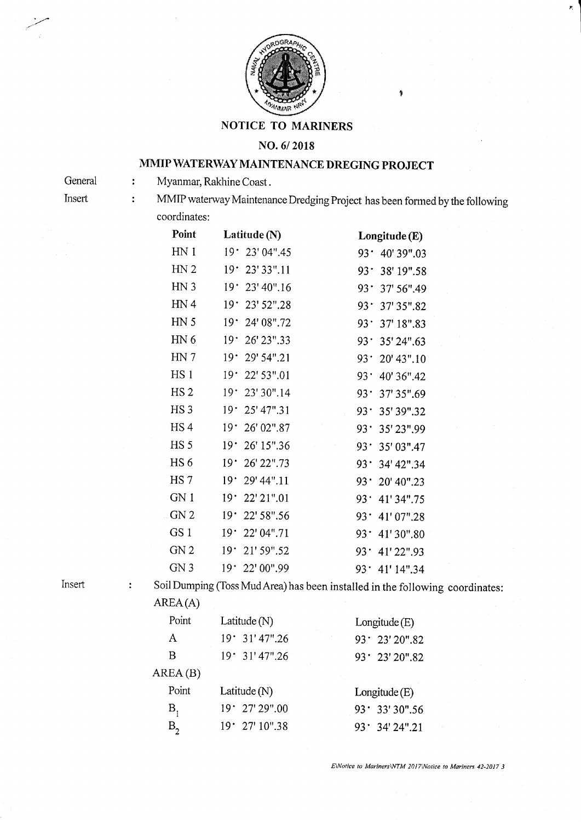

NOTICE TO MARINERS

## NO.6/2018

## MMIP WATERWAY MAINTENANCE DREGING PROJECT

Myanmar, Rakhine Coast.  $\ddot{\cdot}$ 

**General** Insert

 $\ddot{\cdot}$ 

MMIP waterway Maintenance Dredging Project has been fomred by the following coordinates:

ý

Þ.

| Point           | Latitude (N)                  | Longitude (E)              |
|-----------------|-------------------------------|----------------------------|
| HN <sub>1</sub> | 19.23'04''.45                 | $93 \cdot 40' 39''.03$     |
| HN <sub>2</sub> | 19.<br>23' 33".11             | 93.<br>38' 19".58          |
| HN <sub>3</sub> | 23' 40".16<br>19 <sup>°</sup> | 93.<br>37' 56" 49          |
| HN <sub>4</sub> | 19 ·<br>23' 52".28            | 93.<br>37' 35".82          |
| HN <sub>5</sub> | 24' 08".72<br>$19^{\circ}$    | 93.<br>37' 18".83          |
| HN 6            | 19 <sup>°</sup><br>26' 23".33 | 93.<br>35' 24".63          |
| HN 7            | 19 <sup>•</sup><br>29' 54".21 | 93.<br>20' 43".10          |
| HS <sub>1</sub> | 22' 53".01<br>$19 -$          | 93.<br>40' 36".42          |
| HS <sub>2</sub> | 23' 30".14<br>19 <sup>°</sup> | 37' 35".69<br>93.          |
| HS <sub>3</sub> | 19.<br>25' 47".31             | 35' 39".32<br>93.          |
| HS <sub>4</sub> | 19 <sup>°</sup><br>26' 02".87 | 93.<br>35' 23",99          |
| HS <sub>5</sub> | 19.<br>26' 15".36             | 35' 03".47<br>93.          |
| HS <sub>6</sub> | 26' 22".73<br>$19 -$          | 93.<br>34' 42".34          |
| HS <sub>7</sub> | $19.29'$ 44".11               | 20' 40".23<br>93٠          |
| GN 1            | 19 <sup>o</sup><br>22' 21".01 | 93.<br>41' 34".75          |
| GN <sub>2</sub> | 22' 58".56<br>19 <sup>•</sup> | 93.<br>41'07".28           |
| GS <sub>1</sub> | 22' 04".71<br>$19 -$          | $93 -$<br>41'30".80        |
| GN <sub>2</sub> | 21' 59".52<br>19.             | 41'22".93<br>93.           |
| GN <sub>3</sub> | 19 22' 00".99                 | $93^{\circ}$<br>41' 14".34 |

Insert

 $\ddot{\cdot}$ 

Soil Dumping (Toss Mud Area) has been installed in the following coordinates: AREA(A)

| Point   | Latitude $(N)$  | Longitude (E)          |  |
|---------|-----------------|------------------------|--|
| A       | $19.31'$ 47".26 | $93 \cdot 23' 20''.82$ |  |
| В       | 19.31'47''.26   | 93' 23' 20".82         |  |
| AREA(B) |                 |                        |  |
| Point   | Latitude $(N)$  | Longitude (E)          |  |
| Β,      | 19.27'29''.00   | $93 \cdot 33'30''.56$  |  |
| $B_{2}$ | 19.27'10''.38   | $93'$ 34' 24".21       |  |
|         |                 |                        |  |